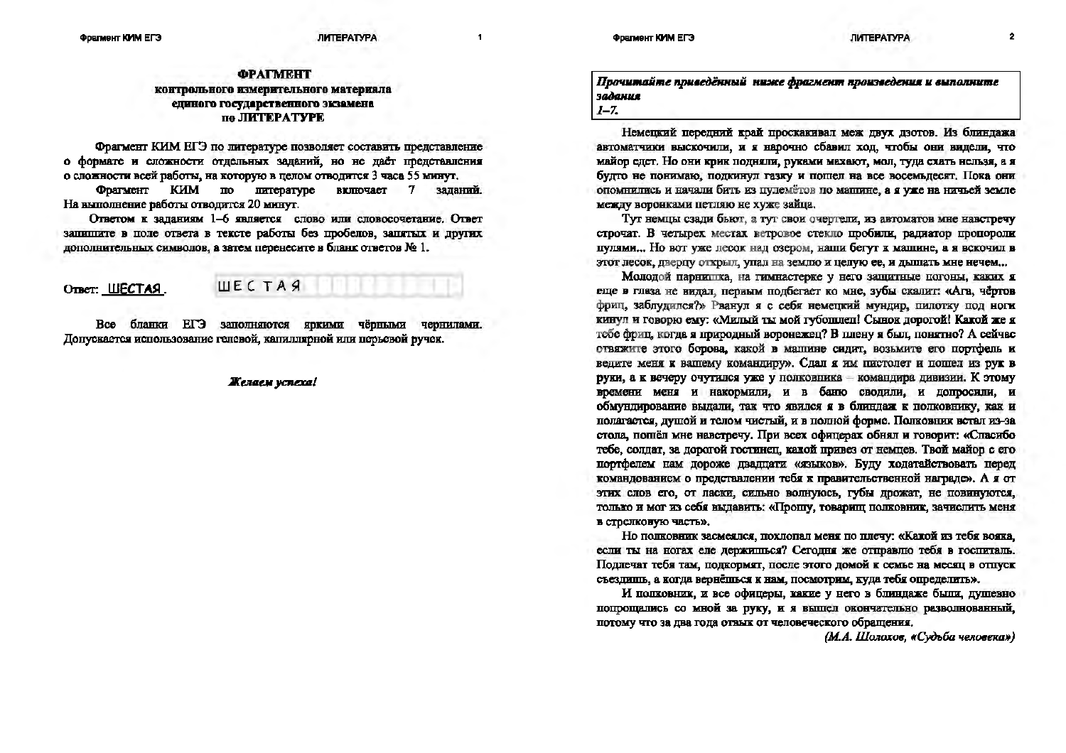$\overline{\mathbf{1}}$ 

## *<u>OPATMEHT</u>* контрольного измерительного материала единого государственного экзамена по ЛИТЕРАТУРЕ

Фрагмент КИМ ЕГЭ по литературе позволяет составить представление о формате и сложности отдельных заданий, но не даёт представления о сложности всей работы, на которую в целом отводится 3 часа 55 минут.

Фрагмент КИМ  $\mathbf{m}$ питературе  $B$ **EXHIOTACT**  $7$ заланий. На выполнение работы отводится 20 минут.

Ответом к заланиям 1-6 является слово или словосочетание. Ответ запишите в поле ответа в тексте работы без пробелов, запятых и других дополнительных символов, а затем перенесите в бланк ответов № 1.

OTBer: LUECTAS.

**IIIECTAS** 

**Bce** бланки ЕГЭ заполняются яркими чёрными чернилами. Допускается использование гелевой, капиллярной или перьевой ручек.

Желаем успеха!

Прочитайте приведённый ниже фрагмент произведения и выполните задания  $I - 7$ 

Немецкий передний край проскакивал меж двух дзотов. Из блиндажа автоматчики выскочили, и я нарочно сбавил ход, чтобы они видели, что майор едет. Но они крик подняли, руками махают, мол, туда ехать нельзя, а я будто не понимаю, подкинул газку и пошел на все восемьдесят. Пока они опомнились и начали бить из пулемётов по машине, а я уже на ничьей земле между воронками петляю не хуже зайца.

Тут немцы сзади бьют, а тут свои очертели, из автоматов мне навстречу строчат. В четырех местах ветровое стекло пробили, радиатор пропороли пулями... Но вот уже лесок над озером, наши бегут к машине, а я вскочил в этот лесок, дверцу открыл, упал на землю и целую ее, и дышать мне нечем...

Молодой парнишка, на гимнастерке у него защитные погоны, каких я еще в глаза не видал, первым подбегает ко мне, зубы скалит: «Ага, чёртов фриц, заблудился?» Рванул я с себя немецкий мундир, пилотку под ноги кинул и говорю ему: «Милый ты мой губоплеп! Сынок дорогой! Какой же я тебе фриц, когда я природный воронежец? В плену я был, понятно? А сейчас отвяжите этого борова, какой в машине сидит, возьмите его портфель и велите меня к вашему командиру». Сдал я им пистолет и пошел из рук в руки, а к вечеру очутился уже у полковника - командира дивизии. К этому времени меня и накормили, и в баню сводили, и допросили, и обмундирование выдали, так что явился я в блиндаж к полковнику, как и полагается, душой и телом чистый, и в полной форме. Полковник встал из-за стола, пошёл мне навстречу. При всех офицерах обнял и говорит: «Спасибо тебе, солдат, за дорогой гостинец, какой привез от немцев. Твой майор с его портфелем нам дороже двадцати «языков». Буду ходатайствовать перед командованием о представлении тебя к правительственной награде». А я от этих слов его, от ласки, сильно волнуюсь, губы дрожат, не повинуются, только и мог из себя выдавить: «Прошу, товарищ полковник, зачислить меня в стрелковую часть».

Но полковник засмеялся, похлопал меня по плечу: «Какой из тебя вояка, если ты на ногах еле держилься? Сегодня же отправлю тебя в госпиталь. Подлечат тебя там, подкормят, после этого домой к семье на месяц в отпуск съездиннь, а когда вернёшься к нам, посмотрим, куда тебя определить».

И полковник, и все офицеры, какие у него в блиндаже были, душевно попрощались со мной за руку, и я вышел окончательно разволнованный, потому что за два года отвых от человеческого обращения.

(М.А. Шолохов, «Судьба человека»)